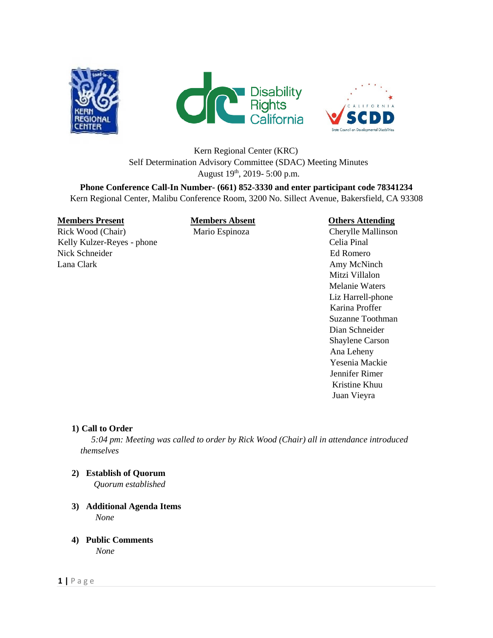





# Kern Regional Center (KRC) Self Determination Advisory Committee (SDAC) Meeting Minutes August  $19^{th}$ , 2019- 5:00 p.m.

**Phone Conference Call-In Number- (661) 852-3330 and enter participant code 78341234**  Kern Regional Center, Malibu Conference Room, 3200 No. Sillect Avenue, Bakersfield, CA 93308

## **Members Present Members Absent Charles Attending**

Rick Wood (Chair) Mario Espinoza Cherylle Mallinson Kelly Kulzer-Reyes - phone Celia Pinal Nick Schneider **Ed Romero** Ed Romero Lana Clark **Amy McNinch Amy McNinch** 

 Mitzi Villalon Melanie Waters Liz Harrell-phone Karina Proffer Suzanne Toothman Dian Schneider Shaylene Carson Ana Leheny Yesenia Mackie Jennifer Rimer Kristine Khuu Juan Vieyra

## **1) Call to Order**

 *5:04 pm: Meeting was called to order by Rick Wood (Chair) all in attendance introduced themselves* 

**2) Establish of Quorum**

*Quorum established* 

- **3) Additional Agenda Items** *None*
- **4) Public Comments**

*None*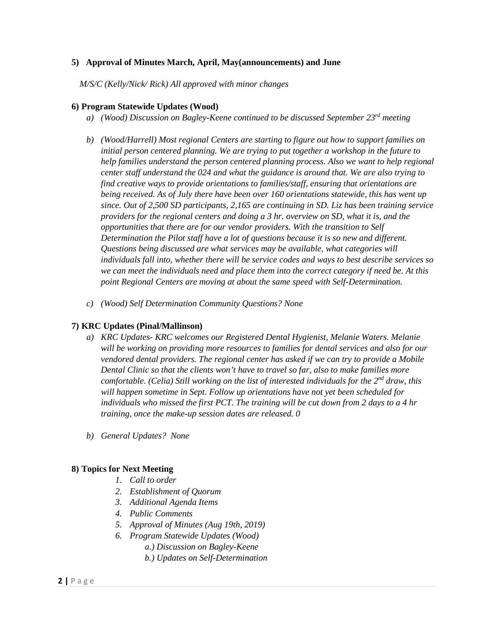## **5) Approval of Minutes March, April, May(announcements) and June**

*M/S/C (Kelly/Nick/ Rick) All approved with minor changes* 

#### **6) Program Statewide Updates (Wood)**

- *a) (Wood) Discussion on Bagley-Keene continued to be discussed September 23rd meeting*
- *b) (Wood/Harrell) Most regional Centers are starting to figure out how to support families on initial person centered planning. We are trying to put together a workshop in the future to help families understand the person centered planning process. Also we want to help regional center staff understand the 024 and what the guidance is around that. We are also trying to find creative ways to provide orientations to families/staff, ensuring that orientations are being received. As of July there have been over 160 orientations statewide, this has went up since. Out of 2,500 SD participants, 2,165 are continuing in SD. Liz has been training service providers for the regional centers and doing a 3 hr. overview on SD, what it is, and the opportunities that there are for our vendor providers. With the transition to Self Determination the Pilot staff have a lot of questions because it is so new and different. Questions being discussed are what services may be available, what categories will individuals fall into, whether there will be service codes and ways to best describe services so we can meet the individuals need and place them into the correct category if need be. At this point Regional Centers are moving at about the same speed with Self-Determination.*
- *c) (Wood) Self Determination Community Questions? None*

## **7) KRC Updates (Pinal/Mallinson)**

- *a) KRC Updates- KRC welcomes our Registered Dental Hygienist, Melanie Waters. Melanie will be working on providing more resources to families for dental services and also for our vendored dental providers. The regional center has asked if we can try to provide a Mobile Dental Clinic so that the clients won't have to travel so far, also to make families more comfortable. (Celia) Still working on the list of interested individuals for the 2nd draw, this will happen sometime in Sept. Follow up orientations have not yet been scheduled for individuals who missed the first PCT. The training will be cut down from 2 days to a 4 hr training, once the make-up session dates are released. 0*
- *b) General Updates? None*

## **8) Topics for Next Meeting**

- *1. Call to order*
- *2. Establishment of Quorum*
- *3. Additional Agenda Items*
- *4. Public Comments*
- *5. Approval of Minutes (Aug 19th, 2019)*
- *6. Program Statewide Updates (Wood)* 
	- *a.) Discussion on Bagley-Keene*
	- *b.) Updates on Self-Determination*